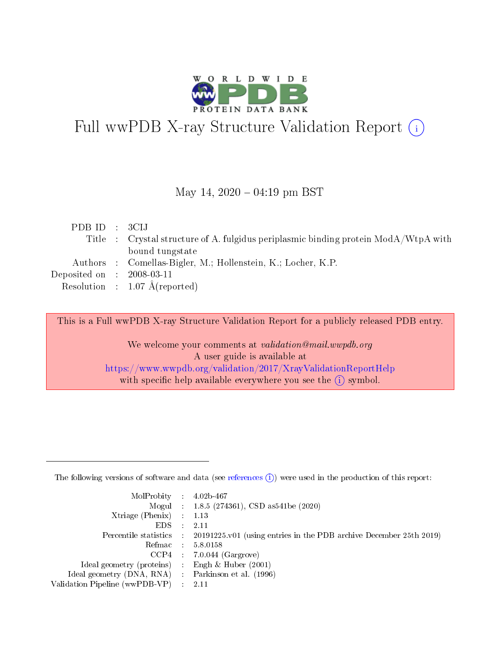

# Full wwPDB X-ray Structure Validation Report (i)

#### May 14,  $2020 - 04:19$  pm BST

| PDB ID : 3CIJ               |                                                                                     |
|-----------------------------|-------------------------------------------------------------------------------------|
|                             | Title : Crystal structure of A. fulgidus periplasmic binding protein ModA/WtpA with |
|                             | bound tungstate                                                                     |
|                             | Authors : Comellas-Bigler, M.; Hollenstein, K.; Locher, K.P.                        |
| Deposited on : $2008-03-11$ |                                                                                     |
|                             | Resolution : $1.07 \text{ Å}$ (reported)                                            |

This is a Full wwPDB X-ray Structure Validation Report for a publicly released PDB entry.

We welcome your comments at validation@mail.wwpdb.org A user guide is available at <https://www.wwpdb.org/validation/2017/XrayValidationReportHelp> with specific help available everywhere you see the  $(i)$  symbol.

The following versions of software and data (see [references](https://www.wwpdb.org/validation/2017/XrayValidationReportHelp#references)  $(1)$ ) were used in the production of this report:

| $MolProbability$ 4.02b-467                          |               |                                                                                            |
|-----------------------------------------------------|---------------|--------------------------------------------------------------------------------------------|
|                                                     |               | Mogul : $1.8.5$ (274361), CSD as 541be (2020)                                              |
| Xtriage (Phenix) $: 1.13$                           |               |                                                                                            |
| EDS.                                                | $\mathcal{L}$ | -2.11                                                                                      |
|                                                     |               | Percentile statistics : 20191225.v01 (using entries in the PDB archive December 25th 2019) |
|                                                     |               | Refmac $5.8.0158$                                                                          |
| CCP4                                                |               | $7.0.044$ (Gargrove)                                                                       |
| Ideal geometry (proteins)                           | $\sim$        | Engh $\&$ Huber (2001)                                                                     |
| Ideal geometry (DNA, RNA) : Parkinson et al. (1996) |               |                                                                                            |
| Validation Pipeline (wwPDB-VP) : 2.11               |               |                                                                                            |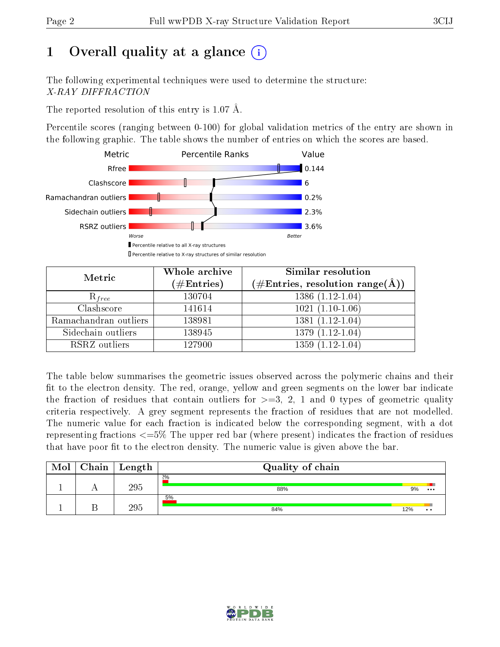# 1 [O](https://www.wwpdb.org/validation/2017/XrayValidationReportHelp#overall_quality)verall quality at a glance  $(i)$

The following experimental techniques were used to determine the structure: X-RAY DIFFRACTION

The reported resolution of this entry is 1.07 Å.

Percentile scores (ranging between 0-100) for global validation metrics of the entry are shown in the following graphic. The table shows the number of entries on which the scores are based.



| Metric                | Whole archive<br>$(\#\text{Entries})$ | Similar resolution<br>(#Entries, resolution range( $\AA$ )) |  |  |
|-----------------------|---------------------------------------|-------------------------------------------------------------|--|--|
| $R_{free}$            | 130704                                | $1386(1.12-1.04)$                                           |  |  |
| Clashscore            | 141614                                | $1021(1.10-1.06)$                                           |  |  |
| Ramachandran outliers | 138981                                | $1381(1.12-1.04)$                                           |  |  |
| Sidechain outliers    | 138945                                | $1379(1.12-1.04)$                                           |  |  |
| RSRZ outliers         | 127900                                | $1359(1.12-1.04)$                                           |  |  |

The table below summarises the geometric issues observed across the polymeric chains and their fit to the electron density. The red, orange, yellow and green segments on the lower bar indicate the fraction of residues that contain outliers for  $>=3, 2, 1$  and 0 types of geometric quality criteria respectively. A grey segment represents the fraction of residues that are not modelled. The numeric value for each fraction is indicated below the corresponding segment, with a dot representing fractions  $\epsilon=5\%$  The upper red bar (where present) indicates the fraction of residues that have poor fit to the electron density. The numeric value is given above the bar.

| Mol | Chain | $\vert$ Length | Quality of chain |     |               |  |  |  |
|-----|-------|----------------|------------------|-----|---------------|--|--|--|
|     |       | 295            | 2%<br>88%        | 9%  | $\cdots$      |  |  |  |
|     |       | 295            | 5%<br>84%        | 12% | $\cdot \cdot$ |  |  |  |

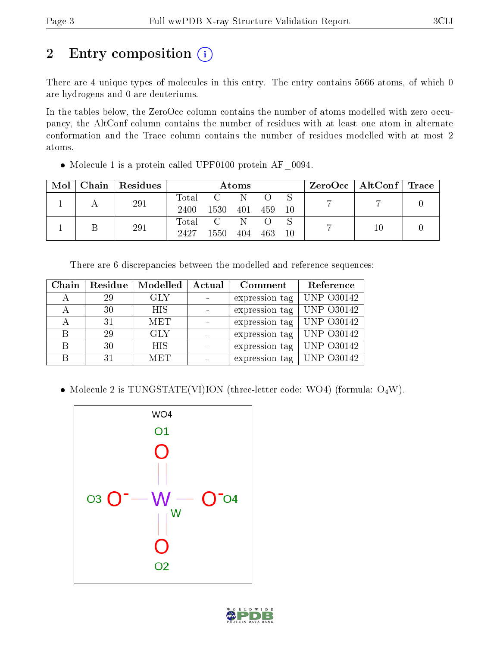# 2 Entry composition (i)

There are 4 unique types of molecules in this entry. The entry contains 5666 atoms, of which 0 are hydrogens and 0 are deuteriums.

In the tables below, the ZeroOcc column contains the number of atoms modelled with zero occupancy, the AltConf column contains the number of residues with at least one atom in alternate conformation and the Trace column contains the number of residues modelled with at most 2 atoms.

| $\text{Mol}$ | Chain   Residues | Atoms       |                                                                                 |     |       |     | $\text{ZeroOcc}$   AltConf   Trace |  |  |
|--------------|------------------|-------------|---------------------------------------------------------------------------------|-----|-------|-----|------------------------------------|--|--|
|              | 291              | Total       | $\overline{\mathbf{C}}$ and $\overline{\mathbf{C}}$ and $\overline{\mathbf{C}}$ | -N- |       |     |                                    |  |  |
|              |                  | 2400        | 1530                                                                            | 401 | - 459 | -10 |                                    |  |  |
|              | 291              | $\rm Total$ | $\overline{C}$                                                                  | N   |       |     |                                    |  |  |
|              |                  | 2427        | 1550                                                                            | 404 | 463   | 10  |                                    |  |  |

Molecule 1 is a protein called UPF0100 protein AF\_0094.

| There are 6 discrepancies between the modelled and reference sequences: |  |  |  |
|-------------------------------------------------------------------------|--|--|--|
|                                                                         |  |  |  |

| Chain | Residue | Modelled   | Actual<br>Comment |                | Reference         |
|-------|---------|------------|-------------------|----------------|-------------------|
|       | 29      | GLY        |                   | expression tag | <b>UNP 030142</b> |
|       | 30      | <b>HIS</b> |                   | expression tag | <b>UNP 030142</b> |
|       | 31      | <b>MET</b> |                   | expression tag | <b>UNP 030142</b> |
| R     | 29      | <b>GLY</b> |                   | expression tag | <b>UNP 030142</b> |
| R     | 30      | <b>HIS</b> |                   | expression tag | <b>UNP 030142</b> |
|       | 31      | <b>MET</b> |                   | expression tag | <b>UNP 030142</b> |

• Molecule 2 is TUNGSTATE(VI)ION (three-letter code: WO4) (formula:  $O_4W$ ).



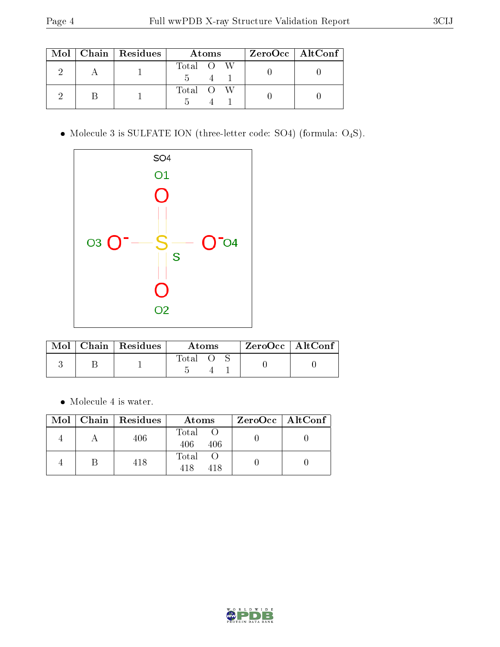|  | $\text{Mol}$   Chain   Residues | Atoms     | $ZeroOcc \   \$ AltConf |
|--|---------------------------------|-----------|-------------------------|
|  |                                 | Total O W |                         |
|  |                                 | Total O W |                         |

 $\bullet$  Molecule 3 is SULFATE ION (three-letter code: SO4) (formula:  $\mathrm{O}_4\mathrm{S}$ ).



|  | Mol   Chain   Residues | Atoms |  |  | $ZeroOcc \mid AltConf$ |  |
|--|------------------------|-------|--|--|------------------------|--|
|  |                        | Total |  |  |                        |  |

Molecule 4 is water.

|  | Mol   Chain   Residues | Atoms               | $ZeroOcc$   AltConf |
|--|------------------------|---------------------|---------------------|
|  | 406                    | Total<br>406<br>406 |                     |
|  | 418                    | Total<br>418        |                     |

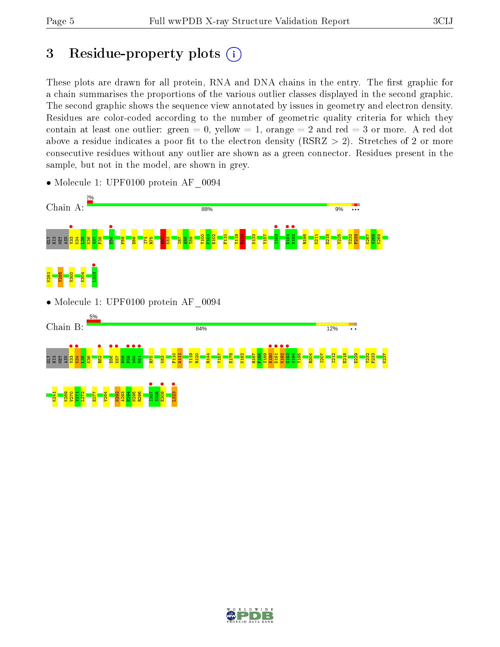## 3 Residue-property plots  $(i)$

These plots are drawn for all protein, RNA and DNA chains in the entry. The first graphic for a chain summarises the proportions of the various outlier classes displayed in the second graphic. The second graphic shows the sequence view annotated by issues in geometry and electron density. Residues are color-coded according to the number of geometric quality criteria for which they contain at least one outlier: green  $= 0$ , yellow  $= 1$ , orange  $= 2$  and red  $= 3$  or more. A red dot above a residue indicates a poor fit to the electron density (RSRZ  $> 2$ ). Stretches of 2 or more consecutive residues without any outlier are shown as a green connector. Residues present in the sample, but not in the model, are shown in grey.



• Molecule 1: UPF0100 protein AF\_0094

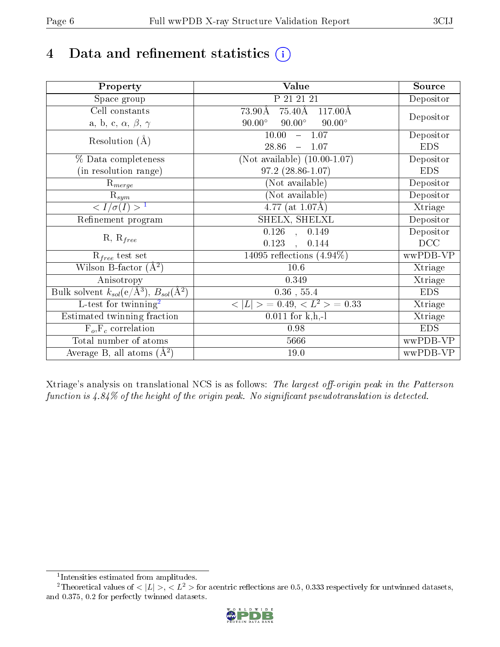# 4 Data and refinement statistics  $(i)$

| Property                                                             | Value                                             | Source     |
|----------------------------------------------------------------------|---------------------------------------------------|------------|
| Space group                                                          | P 21 21 21                                        | Depositor  |
| Cell constants                                                       | $75.40\text{\AA}$<br>73.90Å<br>$117.00\text{\AA}$ |            |
| a, b, c, $\alpha$ , $\beta$ , $\gamma$                               | $90.00^\circ$<br>$90.00^\circ$<br>$90.00^\circ$   | Depositor  |
| Resolution $(A)$                                                     | 10.00<br>$-1.07$                                  | Depositor  |
|                                                                      | 28.86<br>1.07<br>$\equiv$                         | <b>EDS</b> |
| % Data completeness                                                  | (Not available) $(10.00-1.07)$                    | Depositor  |
| (in resolution range)                                                | $97.2(28.86-1.07)$                                | <b>EDS</b> |
| $R_{merge}$                                                          | (Not available)                                   | Depositor  |
| $\mathrm{R}_{sym}$                                                   | (Not available)                                   | Depositor  |
| $\langle I/\sigma(I) \rangle^{-1}$                                   | $\overline{4.77}$ (at 1.07Å)                      | Xtriage    |
| Refinement program                                                   | SHELX, SHELXL                                     | Depositor  |
|                                                                      | 0.126<br>0.149<br>$\bar{a}$                       | Depositor  |
| $R, R_{free}$                                                        | 0.123<br>0.144<br>$\ddot{\phantom{a}}$            | DCC        |
| $R_{free}$ test set                                                  | 14095 reflections $(4.94\%)$                      | wwPDB-VP   |
| Wilson B-factor $(A^2)$                                              | 10.6                                              | Xtriage    |
| Anisotropy                                                           | 0.349                                             | Xtriage    |
| Bulk solvent $k_{sol}(e/\mathring{A}^3)$ , $B_{sol}(\mathring{A}^2)$ | $0.36\,$ , $55.4\,$                               | <b>EDS</b> |
| L-test for twinning <sup>2</sup>                                     | $< L >$ = 0.49, $< L2$ > = 0.33                   | Xtriage    |
| Estimated twinning fraction                                          | $0.011$ for k,h,-l                                | Xtriage    |
| $F_o, F_c$ correlation                                               | 0.98                                              | <b>EDS</b> |
| Total number of atoms                                                | 5666                                              | wwPDB-VP   |
| Average B, all atoms $(A^2)$                                         | 19.0                                              | wwPDB-VP   |

Xtriage's analysis on translational NCS is as follows: The largest off-origin peak in the Patterson function is  $4.84\%$  of the height of the origin peak. No significant pseudotranslation is detected.

<sup>&</sup>lt;sup>2</sup>Theoretical values of  $\langle |L| \rangle$ ,  $\langle L^2 \rangle$  for acentric reflections are 0.5, 0.333 respectively for untwinned datasets, and 0.375, 0.2 for perfectly twinned datasets.



<span id="page-5-1"></span><span id="page-5-0"></span><sup>1</sup> Intensities estimated from amplitudes.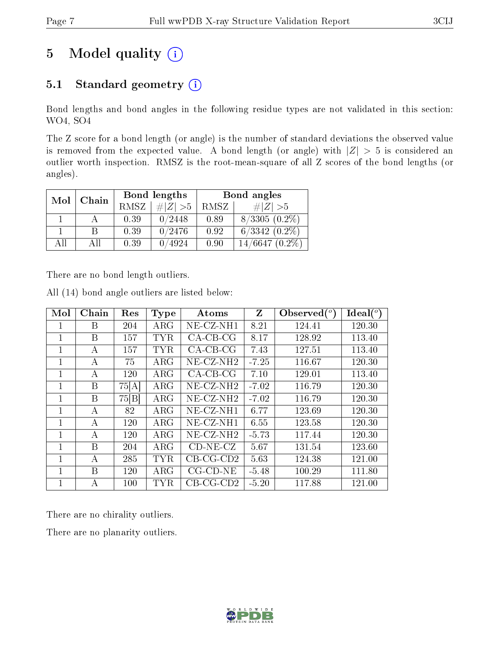## 5 Model quality  $(i)$

## 5.1 Standard geometry  $(i)$

Bond lengths and bond angles in the following residue types are not validated in this section: WO4, SO4

The Z score for a bond length (or angle) is the number of standard deviations the observed value is removed from the expected value. A bond length (or angle) with  $|Z| > 5$  is considered an outlier worth inspection. RMSZ is the root-mean-square of all Z scores of the bond lengths (or angles).

| Mol | Chain |      | Bond lengths | Bond angles |                  |  |
|-----|-------|------|--------------|-------------|------------------|--|
|     |       | RMSZ | # $ Z  > 5$  | RMSZ        | # $ Z  > 5$      |  |
|     |       | 0.39 | 0/2448       | 0.89        | $8/3305(0.2\%)$  |  |
|     | R     | 0.39 | 0/2476       | 0.92        | $6/3342(0.2\%)$  |  |
| All | All   | 0.39 | 0/4924       | 0.90        | $14/6647(0.2\%)$ |  |

There are no bond length outliers.

| Mol | Chain | Res   | <b>Type</b> | $\rm{Atoms}$             | Z       | Observed $(°)$ | Ideal $(°)$ |
|-----|-------|-------|-------------|--------------------------|---------|----------------|-------------|
| 1   | B     | 204   | $\rm{ARG}$  | $NE- CZ-NH1$             | 8.21    | 124.41         | 120.30      |
| 1   | В     | 157   | TYR         | $CA-CB-CG$               | 8.17    | 128.92         | 113.40      |
| 1   | А     | 157   | <b>TYR</b>  | $CA-CB-CG$               | 7.43    | 127.51         | 113.40      |
| 1   | А     | 75    | $\rm{ARG}$  | $NE- CZ-NH2$             | $-7.25$ | 116.67         | 120.30      |
| 1   | А     | 120   | ${\rm ARG}$ | $CA-CB-CG$               | 7.10    | 129.01         | 113.40      |
| 1   | B     | 75[A] | $\rm{ARG}$  | $NE$ -CZ-NH <sub>2</sub> | $-7.02$ | 116.79         | 120.30      |
| 1   | B     | 75 B  | $\rm{ARG}$  | $NE- CZ-NH2$             | $-7.02$ | 116.79         | 120.30      |
| 1   | A     | 82    | $\rm{ARG}$  | NE-CZ-NH1                | 6.77    | 123.69         | 120.30      |
| 1   | А     | 120   | $\rm{ARG}$  | NE-CZ-NH1                | 6.55    | 123.58         | 120.30      |
| 1   | А     | 120   | $\rm{ARG}$  | $NE$ -CZ-NH <sub>2</sub> | $-5.73$ | 117.44         | 120.30      |
| 1   | В     | 204   | $\rm{ARG}$  | $CD-NE- CZ$              | 5.67    | 131.54         | 123.60      |
| 1   | A     | 285   | TYR         | $CB-CG-CD2$              | 5.63    | 124.38         | 121.00      |
| 1   | B     | 120   | $\rm{ARG}$  | $CG$ - $CD$ - $NE$       | $-5.48$ | 100.29         | 111.80      |
| 1   | А     | 100   | <b>TYR</b>  | $CB-CG-CD2$              | $-5.20$ | 117.88         | 121.00      |

All (14) bond angle outliers are listed below:

There are no chirality outliers.

There are no planarity outliers.

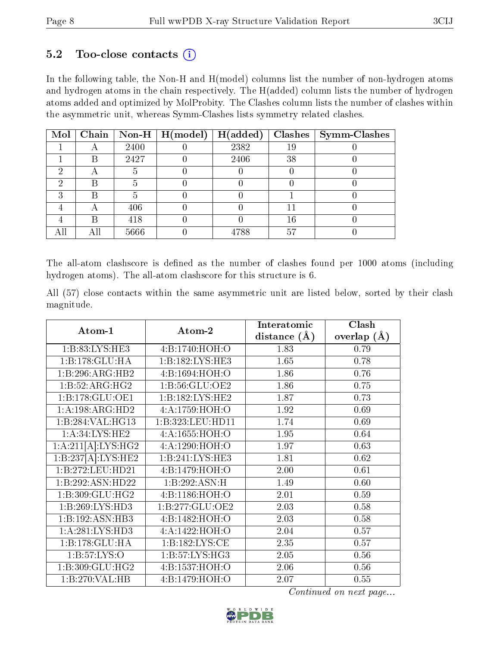#### $5.2$  Too-close contacts  $(i)$

In the following table, the Non-H and H(model) columns list the number of non-hydrogen atoms and hydrogen atoms in the chain respectively. The H(added) column lists the number of hydrogen atoms added and optimized by MolProbity. The Clashes column lists the number of clashes within the asymmetric unit, whereas Symm-Clashes lists symmetry related clashes.

| $\bf{Mol}$ |     |      | Chain   Non-H   $H (model)$ | H(added) |    | $\mathbf{Class}   \mathbf{Symm}\text{-}\mathbf{Class} $ |
|------------|-----|------|-----------------------------|----------|----|---------------------------------------------------------|
|            |     | 2400 |                             | 2382     | 19 |                                                         |
|            | В   | 2427 |                             | 2406     | 38 |                                                         |
|            |     |      |                             |          |    |                                                         |
|            |     |      |                             |          |    |                                                         |
|            | R   |      |                             |          |    |                                                         |
|            |     | 406  |                             |          |    |                                                         |
|            | R   | 418  |                             |          | 16 |                                                         |
| All        | Αll | 5666 |                             | 4788     | 57 |                                                         |

The all-atom clashscore is defined as the number of clashes found per 1000 atoms (including hydrogen atoms). The all-atom clashscore for this structure is 6.

All (57) close contacts within the same asymmetric unit are listed below, sorted by their clash magnitude.

| Atom-1                          | $\boldsymbol{\mathrm{Atom}\text{-}2}$ | Interatomic    | Clash         |  |
|---------------------------------|---------------------------------------|----------------|---------------|--|
|                                 |                                       | distance $(A)$ | overlap $(A)$ |  |
| 1: B: 83: LYS: HE3              | 4: B: 1740: HOH:O                     | 1.83           | 0.79          |  |
| 1:B:178:GLU:HA                  | 1:B:182:LYS:HE3                       | 1.65           | 0.78          |  |
| 1:B:296:ARG:HB2                 | 4:B:1694:HOH:O                        | 1.86           | 0.76          |  |
| 1:B:52:ARG:HG2                  | 1: B:56: GLU:OE2                      | 1.86           | 0.75          |  |
| 1:B:178:GLU:OE1                 | 1:B:182:LYS:HE2                       | 1.87           | 0.73          |  |
| 1:A:198:ARG:HD2                 | 4:A:1759:HOH:O                        | 1.92           | 0.69          |  |
| 1:B:284:VAL:HG13                | 1:B:323:LEU:HD11                      | 1.74           | 0.69          |  |
| 1: A:34: LYS: HE2               | 4:A:1655:HOH:O                        | 1.95           | 0.64          |  |
| $1:A:211[A]:LYS:H\overline{G2}$ | 4:A:1290:HOH:O                        | 1.97           | 0.63          |  |
| 1:B:237[A]:LYS:HE2              | 1:B:241:LYS:HE3                       | 1.81           | 0.62          |  |
| 1:B:272:LEU:HD21                | 4: B: 1479: HOH:O                     | 2.00           | 0.61          |  |
| 1:B:292:ASN:HD22                | 1:B:292:ASN:H                         | 1.49           | 0.60          |  |
| 1:B:309:GLU:HG2                 | 4:B:1186:HOH:O                        | 2.01           | 0.59          |  |
| 1:B:269:LYS:HD3                 | 1:B:277:GLU:OE2                       | 2.03           | 0.58          |  |
| 1:B:192:ASN:HB3                 | 4: B: 1482: HOH:O                     | 2.03           | 0.58          |  |
| 1:A:281:LYS:HD3                 | 4:A:1422:HOH:O                        | 2.04           | 0.57          |  |
| 1:B:178:GLU:HA                  | 1:B:182:LYS:CE                        | 2.35           | 0.57          |  |
| 1: B: 57: LYS: O                | 1: B: 57: LYS: HG3                    | 2.05           | 0.56          |  |
| 1:B:309:GLU:HG2                 | 4:B:1537:HOH:O                        | 2.06           | 0.56          |  |
| 1:B:270:VAL:HB                  | 4: B: 1479: HOH:O                     | 2.07           | 0.55          |  |

Continued on next page...

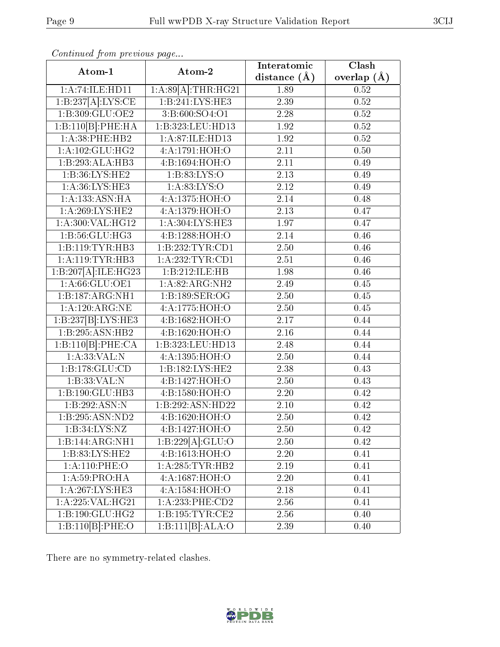| Atom-1              | Atom-2                        | Interatomic      | Clash           |  |
|---------------------|-------------------------------|------------------|-----------------|--|
|                     |                               | distance $(\AA)$ | overlap $(\AA)$ |  |
| 1:A:74:ILE:HD11     | $1:A:89[A]:\text{THR}:HG21$   | 1.89             | 0.52            |  |
| 1:B:237[A]:LYS:CE   | 1:B:241:LYS:HE3               | 2.39             | 0.52            |  |
| 1:B:309:GLU:OE2     | 3:B:600:SO4:O1                | 2.28             | 0.52            |  |
| 1:B:110[B]:PHE:HA   | 1:B:323:LEU:HD13              | 1.92             | 0.52            |  |
| 1: A:38: PHE:HB2    | 1:A:87:ILE:HD13               | 1.92             | 0.52            |  |
| 1:A:102:GLU:HG2     | 4:A:1791:HOH:O                | 2.11             | 0.50            |  |
| 1:B:293:ALA:HB3     | 4: B: 1694: HOH: O            | 2.11             | 0.49            |  |
| 1:B:36:LYS:HE2      | 1:B:83:LYS:O                  | 2.13             | 0.49            |  |
| 1: A:36: LYS: HE3   | 1: A:83: LYS:O                | $2.12\,$         | 0.49            |  |
| 1:A:133:ASN:HA      | 4:A:1375:HOH:O                | 2.14             | 0.48            |  |
| 1: A:269:LYS:HE2    | 4:A:1379:HOH:O                | 2.13             | 0.47            |  |
| 1: A:300: VAL:HG12  | 1:A:304:LYS:HE3               | 1.97             | 0.47            |  |
| 1: B:56: GLU: HG3   | 4:B:1288:HOH:O                | 2.14             | 0.46            |  |
| 1:B:119:TYR:HB3     | 1:B:232:TYR:CD1               | 2.50             | 0.46            |  |
| 1: A:119: TYR: HB3  | 1:A:232:TYR:CD1               | 2.51             | 0.46            |  |
| 1:B:207[A]:ILE:HG23 | 1:B:212:ILE:HB                | 1.98             | 0.46            |  |
| 1: A:66: GLU:OE1    | 1:A:82:ARG:NH2                | 2.49             | 0.45            |  |
| 1:B:187:ARG:NH1     | 1:B:189:SER:OG                | 2.50             | 0.45            |  |
| 1:A:120:ARG:NE      | 4:A:1775:HOH:O                | 2.50             | 0.45            |  |
| 1:B:237[B]:LYS:HE3  | 4:B:1682:HOH:O                | 2.17             | 0.44            |  |
| 1:B:295:ASN:HB2     | 4:B:1620:HOH:O                | 2.16             | 0.44            |  |
| 1:B:110[B]:PHE:CA   | 1:B:323:LEU:HD13              | 2.48             | 0.44            |  |
| 1: A:33: VAL: N     | 4:A:1395:HOH:O                | 2.50             | 0.44            |  |
| 1:B:178:GLU:CD      | $1:B:\overline{182:LYS:HE2}$  | 2.38             | 0.43            |  |
| 1:B:33:VAL:N        | 4:B:1427:HOH:O                | 2.50             | 0.43            |  |
| 1:B:190:GLU:HB3     | 4:B:1580:HOH:O                | 2.20             | 0.42            |  |
| 1:B:292:ASN:N       | 1:B:292:ASN:HD22              | 2.10             | 0.42            |  |
| 1:B:295:ASN:ND2     | 4: B: 1620: HOH:O             | 2.50             | 0.42            |  |
| 1: B:34: LYS:NZ     | 4:B:1427:HOH:O                | 2.50             | 0.42            |  |
| 1:B:144:ARG:NH1     | 1:B:229[A]:GLU:O              | 2.50             | 0.42            |  |
| 1:B:83:LYS:HE2      | 4:B:1613:HOH:O                | 2.20             | 0.41            |  |
| 1: A: 110: PHE: O   | 1: A:285:TYR:HB2              | 2.19             | 0.41            |  |
| 1: A:59: PRO:HA     | 4:A:1687:HOH:O                | 2.20             | 0.41            |  |
| 1:A:267:LYS:HE3     | 4:A:1584:HOH:O                | $2.18\,$         | 0.41            |  |
| 1:A:225:VAL:HG21    | 1:A:233:PHE:CD2               | 2.56             | 0.41            |  |
| 1:B:190:GLU:HG2     | 1: B: 195: TYR: CE2           | 2.56             | 0.40            |  |
| 1:B:110[B]:PHE:O    | $1:B:111[B]:\overline{ALA:O}$ | 2.39             | 0.40            |  |

Continued from previous page...

There are no symmetry-related clashes.

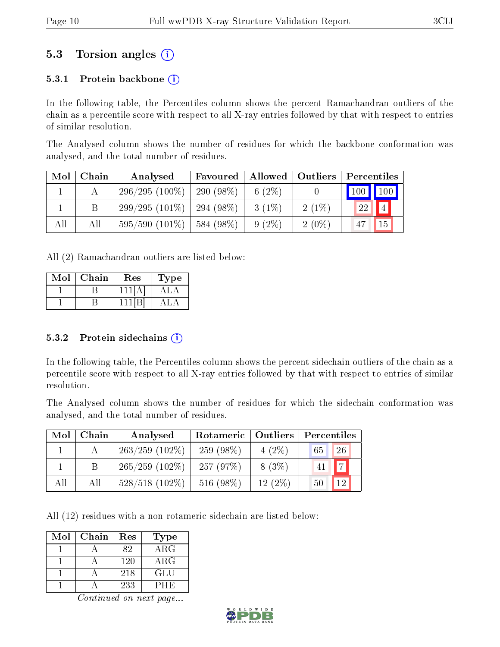### 5.3 Torsion angles (i)

#### 5.3.1 Protein backbone  $(i)$

In the following table, the Percentiles column shows the percent Ramachandran outliers of the chain as a percentile score with respect to all X-ray entries followed by that with respect to entries of similar resolution.

The Analysed column shows the number of residues for which the backbone conformation was analysed, and the total number of residues.

| Mol | Chain | Analysed            | Favoured   Allowed   Outliers |           |          | Percentiles |
|-----|-------|---------------------|-------------------------------|-----------|----------|-------------|
|     |       | $296/295(100\%)$    | 290 $(98\%)$                  | 6 $(2\%)$ |          | 100 100     |
|     |       | $299/295(101\%)$    | $294(98\%)$                   | $3(1\%)$  | $2(1\%)$ | 22          |
| All | Аll   | $595/590$ $(101\%)$ | 584 (98%)                     | $9(2\%)$  | $2(0\%)$ | 15          |

All (2) Ramachandran outliers are listed below:

| $\operatorname{Mol}$ | Chain | Res | Type |
|----------------------|-------|-----|------|
|                      |       |     |      |
|                      |       |     |      |

#### 5.3.2 Protein sidechains  $(i)$

In the following table, the Percentiles column shows the percent sidechain outliers of the chain as a percentile score with respect to all X-ray entries followed by that with respect to entries of similar resolution.

The Analysed column shows the number of residues for which the sidechain conformation was analysed, and the total number of residues.

| Mol | Chain | Analysed          | Rotameric   Outliers |           | Percentiles          |  |  |
|-----|-------|-------------------|----------------------|-----------|----------------------|--|--|
|     |       | $263/259$ (102\%) | $259(98\%)$          | $4(2\%)$  | 26<br>65             |  |  |
|     | B.    | $265/259$ (102\%) | 257(97%)             | $8(3\%)$  | $\overline{ }$<br>41 |  |  |
| All | All   | $528/518$ (102\%) | 516 (98%)            | $12(2\%)$ | 12<br>50             |  |  |

All (12) residues with a non-rotameric sidechain are listed below:

| Mol | Chain | Res | Type       |
|-----|-------|-----|------------|
|     |       | 82  | $\rm{ARG}$ |
|     |       | 120 | $\rm{ARG}$ |
|     |       | 218 | GLU        |
|     |       | 233 | PHE        |

Continued on next page...

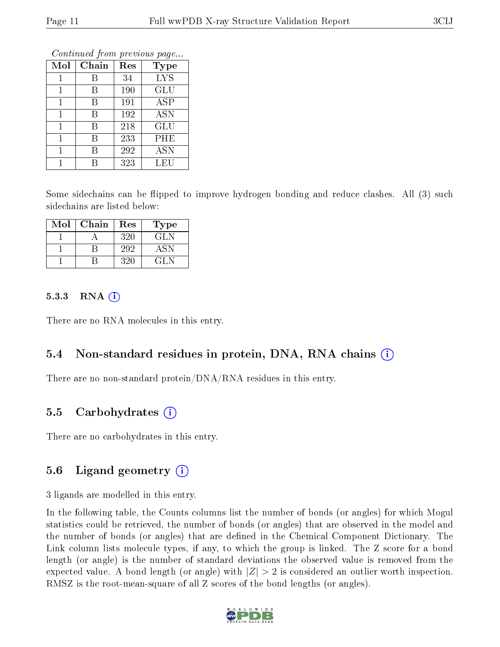|     | Conning and the procedure page |     |             |  |  |  |  |  |  |  |
|-----|--------------------------------|-----|-------------|--|--|--|--|--|--|--|
| Mol | Chain                          | Res | <b>Type</b> |  |  |  |  |  |  |  |
|     | В                              | 34  | <b>LYS</b>  |  |  |  |  |  |  |  |
| 1   | В                              | 190 | <b>GLU</b>  |  |  |  |  |  |  |  |
| 1   | В                              | 191 | ASP         |  |  |  |  |  |  |  |
| 1   | В                              | 192 | <b>ASN</b>  |  |  |  |  |  |  |  |
| 1   | В                              | 218 | <b>GLU</b>  |  |  |  |  |  |  |  |
| 1   | В                              | 233 | PHE         |  |  |  |  |  |  |  |
| 1   | В                              | 292 | <b>ASN</b>  |  |  |  |  |  |  |  |
|     |                                | 323 | LEU         |  |  |  |  |  |  |  |

Continued from previous page...

Some sidechains can be flipped to improve hydrogen bonding and reduce clashes. All (3) such sidechains are listed below:

| Mol | Chain | Res | Type |
|-----|-------|-----|------|
|     |       | 320 | GL N |
|     |       | 292 | ASN  |
|     |       | 320 | GI N |

#### $5.3.3$  RNA  $(i)$

There are no RNA molecules in this entry.

#### 5.4 Non-standard residues in protein, DNA, RNA chains (i)

There are no non-standard protein/DNA/RNA residues in this entry.

#### 5.5 Carbohydrates (i)

There are no carbohydrates in this entry.

#### 5.6 Ligand geometry  $(i)$

3 ligands are modelled in this entry.

In the following table, the Counts columns list the number of bonds (or angles) for which Mogul statistics could be retrieved, the number of bonds (or angles) that are observed in the model and the number of bonds (or angles) that are dened in the Chemical Component Dictionary. The Link column lists molecule types, if any, to which the group is linked. The Z score for a bond length (or angle) is the number of standard deviations the observed value is removed from the expected value. A bond length (or angle) with  $|Z| > 2$  is considered an outlier worth inspection. RMSZ is the root-mean-square of all Z scores of the bond lengths (or angles).

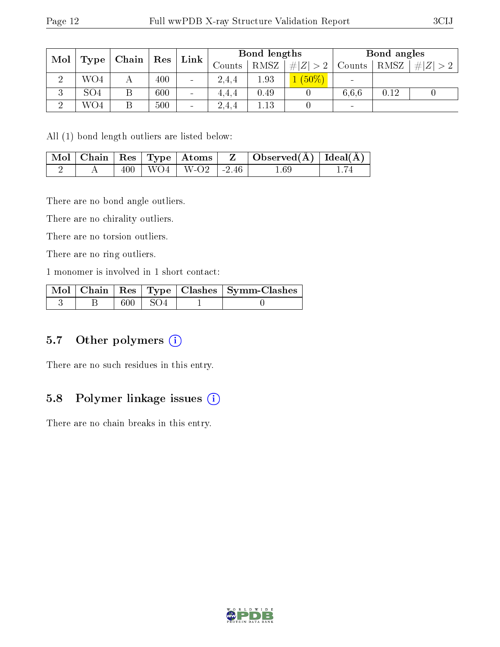| Mol     |                 |   |     |                |       |      |          |                          |      | Chain |  |  |        |             |             | $\operatorname{Res}$ | Link | Bond lengths |  |  |  | Bond angles |  |
|---------|-----------------|---|-----|----------------|-------|------|----------|--------------------------|------|-------|--|--|--------|-------------|-------------|----------------------|------|--------------|--|--|--|-------------|--|
|         | Type            |   |     |                |       |      |          |                          |      |       |  |  | Counts | <b>RMSZ</b> | # $ Z  > 2$ | Counts               | RMSZ | # $ Z  > 2$  |  |  |  |             |  |
| റ       | WO4             |   | 400 | $\blacksquare$ | 2.4.4 | 1.93 | $(50\%)$ | $\sim$                   |      |       |  |  |        |             |             |                      |      |              |  |  |  |             |  |
| ച<br>k) | SO <sub>4</sub> | Β | 600 | $\sim$         | 4.4.4 | 0.49 |          | 6.6.6                    | 0.12 |       |  |  |        |             |             |                      |      |              |  |  |  |             |  |
| ച       | WO4             | Β | 500 | $\sim$         | 2.4,4 | .13  |          | $\overline{\phantom{a}}$ |      |       |  |  |        |             |             |                      |      |              |  |  |  |             |  |

All (1) bond length outliers are listed below:

|  |  |                            | $\mid$ Mol $\mid$ Chain $\mid$ Res $\mid$ Type $\mid$ Atoms $\mid$ $\mid$ Z $\mid$ Observed(Å) $\mid$ Ideal(Å) $\mid$ |  |
|--|--|----------------------------|-----------------------------------------------------------------------------------------------------------------------|--|
|  |  | $400$   WO4   W-O2   -2.46 | $1.69\,$                                                                                                              |  |

There are no bond angle outliers.

There are no chirality outliers.

There are no torsion outliers.

There are no ring outliers.

1 monomer is involved in 1 short contact:

|  |                | Mol   Chain   Res   Type   Clashes   Symm-Clashes |
|--|----------------|---------------------------------------------------|
|  | $600 \div SO4$ |                                                   |

#### 5.7 [O](https://www.wwpdb.org/validation/2017/XrayValidationReportHelp#nonstandard_residues_and_ligands)ther polymers  $(i)$

There are no such residues in this entry.

#### 5.8 Polymer linkage issues  $(i)$

There are no chain breaks in this entry.

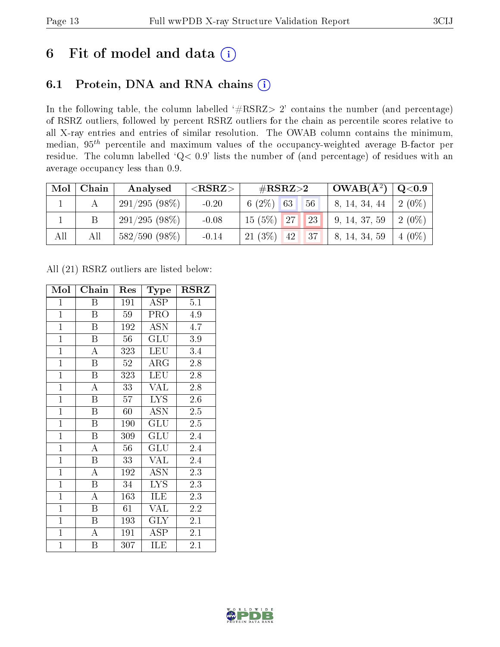## 6 Fit of model and data  $(i)$

## 6.1 Protein, DNA and RNA chains  $(i)$

In the following table, the column labelled  $#RSRZ> 2'$  contains the number (and percentage) of RSRZ outliers, followed by percent RSRZ outliers for the chain as percentile scores relative to all X-ray entries and entries of similar resolution. The OWAB column contains the minimum, median,  $95<sup>th</sup>$  percentile and maximum values of the occupancy-weighted average B-factor per residue. The column labelled ' $Q< 0.9$ ' lists the number of (and percentage) of residues with an average occupancy less than 0.9.

| Mol | Chain | Analysed        | $<$ RSRZ $>$ | $\#\text{RSRZ}\text{>2}$            | $\mathbf{OWAB}(\mathbf{A}^2)$ | $\mathrm{Q} {<} 0.9$ |
|-----|-------|-----------------|--------------|-------------------------------------|-------------------------------|----------------------|
|     |       | 291/295(98%)    | $-0.20$      | $6(2\%)$ 63<br>56                   | 8, 14, 34, 44                 | $2(0\%)$             |
|     |       | $291/295(98\%)$ | $-0.08$      | $15(5\%)$ 27<br>23                  | 9, 14, 37, 59                 | $2(0\%)$             |
| All | All   | 582/590 (98%)   | $-0.14$      | $21(3\%)$<br>137 <sup>1</sup><br>42 | 8, 14, 34, 59                 | $4(0\%)$             |

All (21) RSRZ outliers are listed below:

| Mol            | Chain              | Res | Type       | <b>RSRZ</b>      |
|----------------|--------------------|-----|------------|------------------|
| $\mathbf{1}$   | Β                  | 191 | ASP        | 5.1              |
| $\mathbf{1}$   | Β                  | 59  | <b>PRO</b> | 4.9              |
| $\mathbf{1}$   | B                  | 192 | <b>ASN</b> | $\overline{4.7}$ |
| $\mathbf{1}$   | $\boldsymbol{B}$   | 56  | GLU        | 3.9              |
| $\overline{1}$ | A                  | 323 | LEU        | 3.4              |
| $\overline{1}$ | $\overline{B}$     | 52  | $\rm{ARG}$ | 2.8              |
| $\mathbf{1}$   | $\boldsymbol{B}$   | 323 | <b>LEU</b> | 2.8              |
| $\overline{1}$ | A                  | 33  | <b>VAL</b> | 2.8              |
| $\overline{1}$ | B                  | 57  | <b>LYS</b> | 2.6              |
| $\mathbf{1}$   | $\boldsymbol{B}$   | 60  | ASN        | 2.5              |
| $\overline{1}$ | B                  | 190 | GLU        | 2.5              |
| $\overline{1}$ | $\boldsymbol{B}$   | 309 | GLU        | 2.4              |
| $\overline{1}$ | $\overline{\rm A}$ | 56  | GLU        | 2.4              |
| $\mathbf{1}$   | $\boldsymbol{B}$   | 33  | <b>VAL</b> | 2.4              |
| $\overline{1}$ | $\overline{\rm A}$ | 192 | ASN        | 2.3              |
| $\overline{1}$ | $\boldsymbol{B}$   | 34  | <b>LYS</b> | 2.3              |
| $\overline{1}$ | $\overline{\rm A}$ | 163 | ILE        | 2.3              |
| $\mathbf{1}$   | B                  | 61  | <b>VAL</b> | 2.2              |
| $\mathbf{1}$   | $\boldsymbol{B}$   | 193 | <b>GLY</b> | 2.1              |
| $\overline{1}$ | $\overline{\rm A}$ | 191 | ASP        | $\overline{2.1}$ |
| $\mathbf{1}$   | B                  | 307 | ILE        | 2.1              |